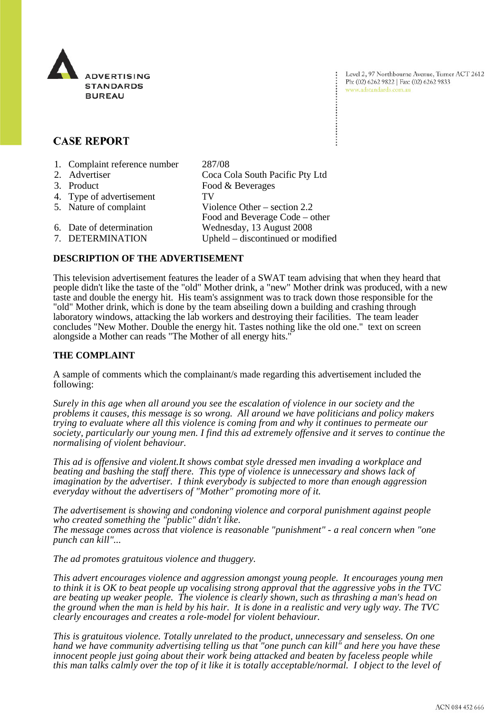

Level 2, 97 Northbourne Avenue, Turner ACT 2612 Ph: (02) 6262 9822 | Fax: (02) 6262 9833 www.adstandards.com.au

# **CASE REPORT**

| 1. Complaint reference number | 287/08                            |
|-------------------------------|-----------------------------------|
| 2. Advertiser                 | Coca Cola South Pacific Pty Ltd   |
| 3. Product                    | Food & Beverages                  |
| 4. Type of advertisement      | TV                                |
| 5. Nature of complaint        | Violence Other $-$ section 2.2    |
|                               | Food and Beverage Code – other    |
| 6. Date of determination      | Wednesday, 13 August 2008         |
| 7. DETERMINATION              | Upheld – discontinued or modified |

## **DESCRIPTION OF THE ADVERTISEMENT**

This television advertisement features the leader of a SWAT team advising that when they heard that people didn't like the taste of the "old" Mother drink, a "new" Mother drink was produced, with a new taste and double the energy hit. His team's assignment was to track down those responsible for the "old" Mother drink, which is done by the team abseiling down a building and crashing through laboratory windows, attacking the lab workers and destroying their facilities. The team leader concludes "New Mother. Double the energy hit. Tastes nothing like the old one." text on screen alongside a Mother can reads "The Mother of all energy hits."

### **THE COMPLAINT**

A sample of comments which the complainant/s made regarding this advertisement included the following:

*Surely in this age when all around you see the escalation of violence in our society and the problems it causes, this message is so wrong. All around we have politicians and policy makers trying to evaluate where all this violence is coming from and why it continues to permeate our society, particularly our young men. I find this ad extremely offensive and it serves to continue the normalising of violent behaviour.*

*This ad is offensive and violent.It shows combat style dressed men invading a workplace and beating and bashing the staff there. This type of violence is unnecessary and shows lack of imagination by the advertiser. I think everybody is subjected to more than enough aggression everyday without the advertisers of "Mother" promoting more of it.*

*The advertisement is showing and condoning violence and corporal punishment against people who created something the "public" didn't like.*

*The message comes across that violence is reasonable "punishment" - a real concern when "one punch can kill"...*

*The ad promotes gratuitous violence and thuggery.*

*This advert encourages violence and aggression amongst young people. It encourages young men to think it is OK to beat people up vocalising strong approval that the aggressive yobs in the TVC are beating up weaker people. The violence is clearly shown, such as thrashing a man's head on the ground when the man is held by his hair. It is done in a realistic and very ugly way. The TVC clearly encourages and creates a role-model for violent behaviour.* 

*This is gratuitous violence. Totally unrelated to the product, unnecessary and senseless. On one hand we have community advertising telling us that "one punch can kill" and here you have these innocent people just going about their work being attacked and beaten by faceless people while this man talks calmly over the top of it like it is totally acceptable/normal. I object to the level of*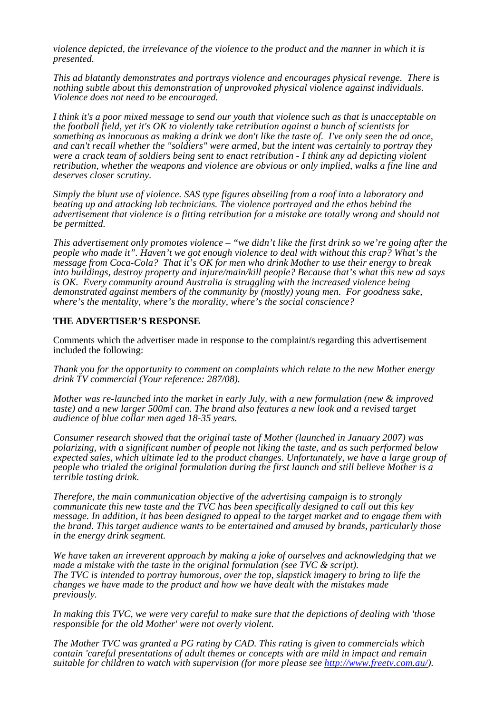*violence depicted, the irrelevance of the violence to the product and the manner in which it is presented.* 

*This ad blatantly demonstrates and portrays violence and encourages physical revenge. There is nothing subtle about this demonstration of unprovoked physical violence against individuals. Violence does not need to be encouraged.*

*I think it's a poor mixed message to send our youth that violence such as that is unacceptable on the football field, yet it's OK to violently take retribution against a bunch of scientists for something as innocuous as making a drink we don't like the taste of. I've only seen the ad once, and can't recall whether the "soldiers" were armed, but the intent was certainly to portray they were a crack team of soldiers being sent to enact retribution - I think any ad depicting violent retribution, whether the weapons and violence are obvious or only implied, walks a fine line and deserves closer scrutiny.*

*Simply the blunt use of violence. SAS type figures abseiling from a roof into a laboratory and beating up and attacking lab technicians. The violence portrayed and the ethos behind the advertisement that violence is a fitting retribution for a mistake are totally wrong and should not be permitted.*

*This advertisement only promotes violence – "we didn't like the first drink so we're going after the people who made it". Haven't we got enough violence to deal with without this crap? What's the message from Coca-Cola? That it's OK for men who drink Mother to use their energy to break into buildings, destroy property and injure/main/kill people? Because that's what this new ad says is OK. Every community around Australia is struggling with the increased violence being demonstrated against members of the community by (mostly) young men. For goodness sake, where's the mentality, where's the morality, where's the social conscience?*

## **THE ADVERTISER'S RESPONSE**

Comments which the advertiser made in response to the complaint/s regarding this advertisement included the following:

*Thank you for the opportunity to comment on complaints which relate to the new Mother energy drink TV commercial (Your reference: 287/08).*

*Mother was re-launched into the market in early July, with a new formulation (new & improved taste) and a new larger 500ml can. The brand also features a new look and a revised target audience of blue collar men aged 18-35 years.*

*Consumer research showed that the original taste of Mother (launched in January 2007) was polarizing, with a significant number of people not liking the taste, and as such performed below*  expected sales, which ultimate led to the product changes. Unfortunately, we have a large group of *people who trialed the original formulation during the first launch and still believe Mother is a terrible tasting drink.*

*Therefore, the main communication objective of the advertising campaign is to strongly communicate this new taste and the TVC has been specifically designed to call out this key message. In addition, it has been designed to appeal to the target market and to engage them with the brand. This target audience wants to be entertained and amused by brands, particularly those in the energy drink segment.*

*We have taken an irreverent approach by making a joke of ourselves and acknowledging that we made a mistake with the taste in the original formulation (see TVC & script). The TVC is intended to portray humorous, over the top, slapstick imagery to bring to life the changes we have made to the product and how we have dealt with the mistakes made previously.*

*In making this TVC, we were very careful to make sure that the depictions of dealing with 'those responsible for the old Mother' were not overly violent.*

*The Mother TVC was granted a PG rating by CAD. This rating is given to commercials which contain 'careful presentations of adult themes or concepts with are mild in impact and remain suitable for children to watch with supervision (for more please see http://www.freetv.com.au/).*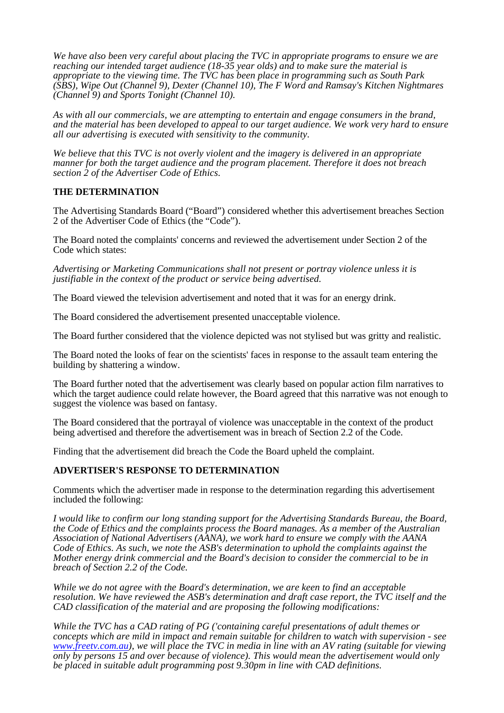*We have also been very careful about placing the TVC in appropriate programs to ensure we are reaching our intended target audience (18-35 year olds) and to make sure the material is appropriate to the viewing time. The TVC has been place in programming such as South Park (SBS), Wipe Out (Channel 9), Dexter (Channel 10), The F Word and Ramsay's Kitchen Nightmares (Channel 9) and Sports Tonight (Channel 10).*

*As with all our commercials, we are attempting to entertain and engage consumers in the brand, and the material has been developed to appeal to our target audience. We work very hard to ensure all our advertising is executed with sensitivity to the community.*

*We believe that this TVC is not overly violent and the imagery is delivered in an appropriate manner for both the target audience and the program placement. Therefore it does not breach section 2 of the Advertiser Code of Ethics.*

# **THE DETERMINATION**

The Advertising Standards Board ("Board") considered whether this advertisement breaches Section 2 of the Advertiser Code of Ethics (the "Code").

The Board noted the complaints' concerns and reviewed the advertisement under Section 2 of the Code which states:

*Advertising or Marketing Communications shall not present or portray violence unless it is justifiable in the context of the product or service being advertised.*

The Board viewed the television advertisement and noted that it was for an energy drink.

The Board considered the advertisement presented unacceptable violence.

The Board further considered that the violence depicted was not stylised but was gritty and realistic.

The Board noted the looks of fear on the scientists' faces in response to the assault team entering the building by shattering a window.

The Board further noted that the advertisement was clearly based on popular action film narratives to which the target audience could relate however, the Board agreed that this narrative was not enough to suggest the violence was based on fantasy.

The Board considered that the portrayal of violence was unacceptable in the context of the product being advertised and therefore the advertisement was in breach of Section 2.2 of the Code.

Finding that the advertisement did breach the Code the Board upheld the complaint.

### **ADVERTISER'S RESPONSE TO DETERMINATION**

Comments which the advertiser made in response to the determination regarding this advertisement included the following:

*I would like to confirm our long standing support for the Advertising Standards Bureau, the Board, the Code of Ethics and the complaints process the Board manages. As a member of the Australian Association of National Advertisers (AANA), we work hard to ensure we comply with the AANA Code of Ethics. As such, we note the ASB's determination to uphold the complaints against the Mother energy drink commercial and the Board's decision to consider the commercial to be in breach of Section 2.2 of the Code.*

*While we do not agree with the Board's determination, we are keen to find an acceptable resolution. We have reviewed the ASB's determination and draft case report, the TVC itself and the CAD classification of the material and are proposing the following modifications:* 

*While the TVC has a CAD rating of PG ('containing careful presentations of adult themes or concepts which are mild in impact and remain suitable for children to watch with supervision - see www.freetv.com.au), we will place the TVC in media in line with an AV rating (suitable for viewing only by persons 15 and over because of violence). This would mean the advertisement would only be placed in suitable adult programming post 9.30pm in line with CAD definitions.*